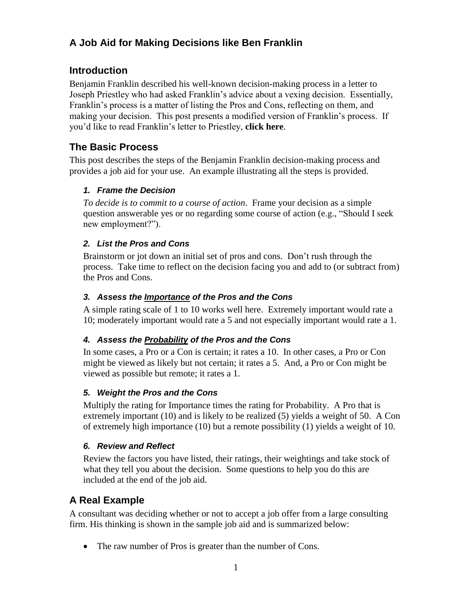# **A Job Aid for Making Decisions like Ben Franklin**

## **Introduction**

Benjamin Franklin described his well-known decision-making process in a letter to Joseph Priestley who had asked Franklin's advice about a vexing decision. Essentially, Franklin's process is a matter of listing the Pros and Cons, reflecting on them, and making your decision. This post presents a modified version of Franklin's process. If you'd like to read Franklin's letter to Priestley, **click here**.

## **The Basic Process**

This post describes the steps of the Benjamin Franklin decision-making process and provides a job aid for your use. An example illustrating all the steps is provided.

### *1. Frame the Decision*

*To decide is to commit to a course of action*. Frame your decision as a simple question answerable yes or no regarding some course of action (e.g., "Should I seek new employment?").

#### *2. List the Pros and Cons*

Brainstorm or jot down an initial set of pros and cons. Don't rush through the process. Take time to reflect on the decision facing you and add to (or subtract from) the Pros and Cons.

#### *3. Assess the Importance of the Pros and the Cons*

A simple rating scale of 1 to 10 works well here. Extremely important would rate a 10; moderately important would rate a 5 and not especially important would rate a 1.

### *4. Assess the Probability of the Pros and the Cons*

In some cases, a Pro or a Con is certain; it rates a 10. In other cases, a Pro or Con might be viewed as likely but not certain; it rates a 5. And, a Pro or Con might be viewed as possible but remote; it rates a 1.

### *5. Weight the Pros and the Cons*

Multiply the rating for Importance times the rating for Probability. A Pro that is extremely important (10) and is likely to be realized (5) yields a weight of 50. A Con of extremely high importance (10) but a remote possibility (1) yields a weight of 10.

#### *6. Review and Reflect*

Review the factors you have listed, their ratings, their weightings and take stock of what they tell you about the decision. Some questions to help you do this are included at the end of the job aid.

## **A Real Example**

A consultant was deciding whether or not to accept a job offer from a large consulting firm. His thinking is shown in the sample job aid and is summarized below:

• The raw number of Pros is greater than the number of Cons.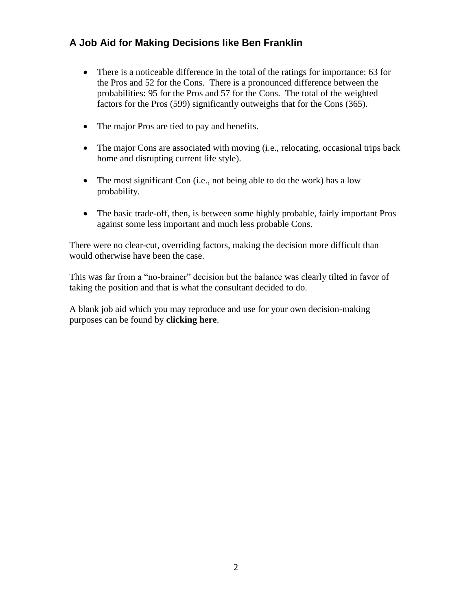## **A Job Aid for Making Decisions like Ben Franklin**

- There is a noticeable difference in the total of the ratings for importance: 63 for the Pros and 52 for the Cons. There is a pronounced difference between the probabilities: 95 for the Pros and 57 for the Cons. The total of the weighted factors for the Pros (599) significantly outweighs that for the Cons (365).
- The major Pros are tied to pay and benefits.
- The major Cons are associated with moving (i.e., relocating, occasional trips back home and disrupting current life style).
- The most significant Con (i.e., not being able to do the work) has a low probability.
- The basic trade-off, then, is between some highly probable, fairly important Pros against some less important and much less probable Cons.

There were no clear-cut, overriding factors, making the decision more difficult than would otherwise have been the case.

This was far from a "no-brainer" decision but the balance was clearly tilted in favor of taking the position and that is what the consultant decided to do.

A blank job aid which you may reproduce and use for your own decision-making purposes can be found by **clicking here**.